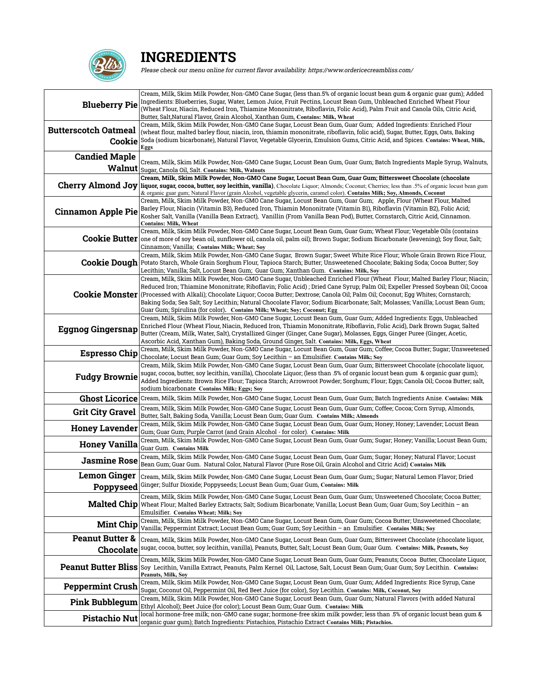

## **INGREDIENTS**

Please check our menu online for current flavor availability. https://www.ordericecreambliss.com/

| <b>Blueberry Pie</b>                    | Cream, Milk, Skim Milk Powder, Non-GMO Cane Sugar, (less than.5% of organic locust bean gum & organic guar gum); Added<br>Ingredients: Blueberries, Sugar, Water, Lemon Juice, Fruit Pectins, Locust Bean Gum, Unbleached Enriched Wheat Flour<br>(Wheat Flour, Niacin, Reduced Iron, Thiamine Mononitrate, Riboflavin, Folic Acid), Palm Fruit and Canola Oils, Citric Acid,<br>Butter, Salt, Natural Flavor, Grain Alcohol, Xanthan Gum, Contains: Milk, Wheat                                                                                                                                 |
|-----------------------------------------|--------------------------------------------------------------------------------------------------------------------------------------------------------------------------------------------------------------------------------------------------------------------------------------------------------------------------------------------------------------------------------------------------------------------------------------------------------------------------------------------------------------------------------------------------------------------------------------------------|
| <b>Butterscotch Oatmeal</b><br>Cookie   | Cream, Milk, Skim Milk Powder, Non-GMO Cane Sugar, Locust Bean Gum, Guar Gum; Added Ingredients: Enriched Flour<br>(wheat flour, malted barley flour, niacin, iron, thiamin mononitrate, riboflavin, folic acid), Sugar, Butter, Eggs, Oats, Baking<br>Soda (sodium bicarbonate), Natural Flavor, Vegetable Glycerin, Emulsion Gums, Citric Acid, and Spices. Contains: Wheat, Milk,<br>Eggs                                                                                                                                                                                                     |
| <b>Candied Maple</b><br>Walnut          | Cream, Milk, Skim Milk Powder, Non-GMO Cane Sugar, Locust Bean Gum, Guar Gum; Batch Ingredients Maple Syrup, Walnuts,<br>Sugar, Canola Oil, Salt. Contains: Milk, Walnuts                                                                                                                                                                                                                                                                                                                                                                                                                        |
|                                         | Cream, Milk, Skim Milk Powder, Non-GMO Cane Sugar, Locust Bean Gum, Guar Gum; Bittersweet Chocolate (chocolate<br>Cherry Almond Joy liquor, sugar, cocoa, butter, soy lecithin, vanilla), Chocolate Liquor; Almonds; Coconut; Cherries; less than .5% of organic locust bean gum<br>& organic guar gum; Natural Flavor (grain Alcohol, vegetable glycerin, caramel color). Contains Milk; Soy, Almonds, Coconut                                                                                                                                                                                  |
| <b>Cinnamon Apple Pie</b>               | Cream, Milk, Skim Milk Powder, Non-GMO Cane Sugar, Locust Bean Gum, Guar Gum; Apple, Flour (Wheat Flour, Malted<br>Barley Flour, Niacin (Vitamin B3), Reduced Iron, Thiamin Mononitrate (Vitamin B1), Riboflavin (Vitamin B2), Folic Acid;<br>Kosher Salt, Vanilla (Vanilla Bean Extract),  Vanillin (From Vanilla Bean Pod), Butter, Cornstarch, Citric Acid, Cinnamon.<br><b>Contains: Milk, Wheat</b>                                                                                                                                                                                         |
|                                         | Cream, Milk, Skim Milk Powder, Non-GMO Cane Sugar, Locust Bean Gum, Guar Gum; Wheat Flour; Vegetable Oils (contains<br>Cookie Butter one of more of soy bean oil, sunflower oil, canola oil, palm oil); Brown Sugar; Sodium Bicarbonate (leavening); Soy flour, Salt;<br>Cinnamon; Vanilla; Contains Milk; Wheat; Soy                                                                                                                                                                                                                                                                            |
| <b>Cookie Dough</b>                     | Cream, Milk, Skim Milk Powder, Non-GMO Cane Sugar, Brown Sugar; Sweet White Rice Flour; Whole Grain Brown Rice Flour,<br>Potato Starch, Whole Grain Sorghum Flour, Tapioca Starch; Butter; Unsweetened Chocolate; Baking Soda; Cocoa Butter; Soy<br>Lecithin; Vanilla; Salt, Locust Bean Gum;  Guar Gum; Xanthan Gum.  Contains: Milk, Soy                                                                                                                                                                                                                                                       |
| <b>Cookie Monster</b>                   | Cream, Milk, Skim Milk Powder, Non-GMO Cane Sugar, Unbleached Enriched Flour (Wheat Flour; Malted Barley Flour; Niacin;<br>Reduced Iron; Thiamine Mononitrate; Riboflavin; Folic Acid); Dried Cane Syrup; Palm Oil; Expeller Pressed Soybean Oil; Cocoa<br>(Processed with Alkali); Chocolate Liquor; Cocoa Butter; Dextrose; Canola Oil; Palm Oil; Coconut; Eqq Whites; Cornstarch;<br>Baking Soda; Sea Salt; Soy Lecithin; Natural Chocolate Flavor; Sodium Bicarbonate; Salt; Molasses; Vanilla; Locust Bean Gum;<br>Guar Gum; Spirulina (for color). Contains Milk; Wheat; Soy; Coconut; Egg |
| <b>Eggnog Gingersnap</b>                | Cream, Milk, Skim Milk Powder, Non-GMO Cane Sugar, Locust Bean Gum, Guar Gum; Added Ingredients: Eggs, Unbleached<br>Enriched Flour (Wheat Flour, Niacin, Reduced Iron, Thiamin Mononitrate, Riboflavin, Folic Acid), Dark Brown Sugar, Salted<br>Butter (Cream, Milk, Water, Salt), Crystallized Ginger (Ginger, Cane Sugar), Molasses, Eggs, Ginger Puree (Ginger, Acetic,<br>Ascorbic Acid, Xanthan Gum), Baking Soda, Ground Ginger, Salt. Contains: Milk, Eggs, Wheat                                                                                                                       |
| <b>Espresso Chip</b>                    | Cream, Milk, Skim Milk Powder, Non-GMO Cane Sugar, Locust Bean Gum, Guar Gum; Coffee; Cocoa Butter; Sugar; Unsweetened<br>Chocolate; Locust Bean Gum; Guar Gum; Soy Lecithin - an Emulsifier. Contains Milk; Soy                                                                                                                                                                                                                                                                                                                                                                                 |
| <b>Fudgy Brownie</b>                    | Cream, Milk, Skim Milk Powder, Non-GMO Cane Sugar, Locust Bean Gum, Guar Gum; Bittersweet Chocolate (chocolate liquor,<br>sugar, cocoa, butter, soy lecithin, vanilla), Chocolate Liquor; (less than .5% of organic locust bean gum & organic guar gum);<br>Added Ingredients: Brown Rice Flour; Tapioca Starch; Arrowroot Powder; Sorghum; Flour; Eggs; Canola Oil; Cocoa Butter; salt,<br>sodium bicarbonate Contains Milk; Eggs; Soy                                                                                                                                                          |
|                                         | Ghost Licorice Cream, Milk, Skim Milk Powder, Non-GMO Cane Sugar, Locust Bean Gum, Guar Gum; Batch Ingredients Anise. Contains: Milk                                                                                                                                                                                                                                                                                                                                                                                                                                                             |
| <b>Grit City Gravel</b>                 | Cream, Milk, Skim Milk Powder, Non-GMO Cane Sugar, Locust Bean Gum, Guar Gum; Coffee; Cocoa; Corn Syrup, Almonds,<br>Butter, Salt, Baking Soda, Vanilla; Locust Bean Gum; Guar Gum. Contains Milk; Almonds                                                                                                                                                                                                                                                                                                                                                                                       |
| <b>Honey Lavender</b>                   | Cream, Milk, Skim Milk Powder, Non-GMO Cane Sugar, Locust Bean Gum, Guar Gum; Honey; Honey; Lavender; Locust Bean<br>Gum; Guar Gum; Purple Carrot (and Grain Alcohol - for color). Contains: Milk                                                                                                                                                                                                                                                                                                                                                                                                |
| <b>Honey Vanilla</b>                    | Cream, Milk, Skim Milk Powder, Non-GMO Cane Sugar, Locust Bean Gum, Guar Gum; Sugar; Honey; Vanilla; Locust Bean Gum;<br>Guar Gum. Contains Milk                                                                                                                                                                                                                                                                                                                                                                                                                                                 |
| <b>Jasmine Rose</b>                     | Cream, Milk, Skim Milk Powder, Non-GMO Cane Sugar, Locust Bean Gum, Guar Gum; Sugar; Honey; Natural Flavor; Locust<br>Bean Gum; Guar Gum. Natural Color, Natural Flavor (Pure Rose Oil, Grain Alcohol and Citric Acid) Contains Milk                                                                                                                                                                                                                                                                                                                                                             |
| Lemon Ginger                            | Cream, Milk, Skim Milk Powder, Non-GMO Cane Sugar, Locust Bean Gum, Guar Gum;; Sugar; Natural Lemon Flavor; Dried<br>Poppyseed Ginger; Sulfur Dioxide; Poppyseeds; Locust Bean Gum; Guar Gum, Contains: Milk                                                                                                                                                                                                                                                                                                                                                                                     |
| <b>Malted Chip</b>                      | Cream, Milk, Skim Milk Powder, Non-GMO Cane Sugar, Locust Bean Gum, Guar Gum; Unsweetened Chocolate; Cocoa Butter;<br>Wheat Flour; Malted Barley Extracts; Salt; Sodium Bicarbonate; Vanilla; Locust Bean Gum; Guar Gum; Soy Lecithin – an<br><b>Emulsifier. Contains Wheat; Milk; Soy</b>                                                                                                                                                                                                                                                                                                       |
| <b>Mint Chip</b>                        | Cream, Milk, Skim Milk Powder, Non-GMO Cane Sugar, Locust Bean Gum, Guar Gum; Cocoa Butter; Unsweetened Chocolate;<br>Vanilla; Peppermint Extract; Locust Bean Gum; Guar Gum; Soy Lecithin – an Emulsifier. Contains Milk; Soy                                                                                                                                                                                                                                                                                                                                                                   |
| <b>Peanut Butter &amp;</b><br>Chocolate | Cream, Milk, Skim Milk Powder, Non-GMO Cane Sugar, Locust Bean Gum, Guar Gum; Bittersweet Chocolate (chocolate liquor,<br>sugar, cocoa, butter, soy lecithin, vanilla), Peanuts, Butter, Salt; Locust Bean Gum; Guar Gum. Contains: Milk, Peanuts, Soy                                                                                                                                                                                                                                                                                                                                           |
| <b>Peanut Butter Bliss</b>              | Cream, Milk, Skim Milk Powder, Non-GMO Cane Sugar, Locust Bean Gum, Guar Gum; Peanuts; Cocoa Butter, Chocolate Liquor,<br>Soy Lecithin, Vanilla Extract, Peanuts, Palm Kernel Oil, Lactose, Salt, Locust Bean Gum; Guar Gum; Soy Lecithin. Contains:<br>Peanuts, Milk, Soy                                                                                                                                                                                                                                                                                                                       |
| <b>Peppermint Crush</b>                 | Cream, Milk, Skim Milk Powder, Non-GMO Cane Sugar, Locust Bean Gum, Guar Gum; Added Ingredients: Rice Syrup, Cane<br>Sugar, Coconut Oil, Peppermint Oil, Red Beet Juice (for color), Soy Lecithin. Contains: Milk, Coconut, Soy                                                                                                                                                                                                                                                                                                                                                                  |
| <b>Pink Bubblegum</b>                   | Cream, Milk, Skim Milk Powder, Non-GMO Cane Sugar, Locust Bean Gum, Guar Gum; Natural Flavors (with added Natural<br>Ethyl Alcohol); Beet Juice (for color); Locust Bean Gum; Guar Gum. Contains: Milk                                                                                                                                                                                                                                                                                                                                                                                           |
| <b>Pistachio Nut</b>                    | local hormone-free milk; non-GMO cane sugar; hormone-free skim milk powder; less than .5% of organic locust bean gum &<br>organic guar gum); Batch Ingredients: Pistachios, Pistachio Extract Contains Milk; Pistachios.                                                                                                                                                                                                                                                                                                                                                                         |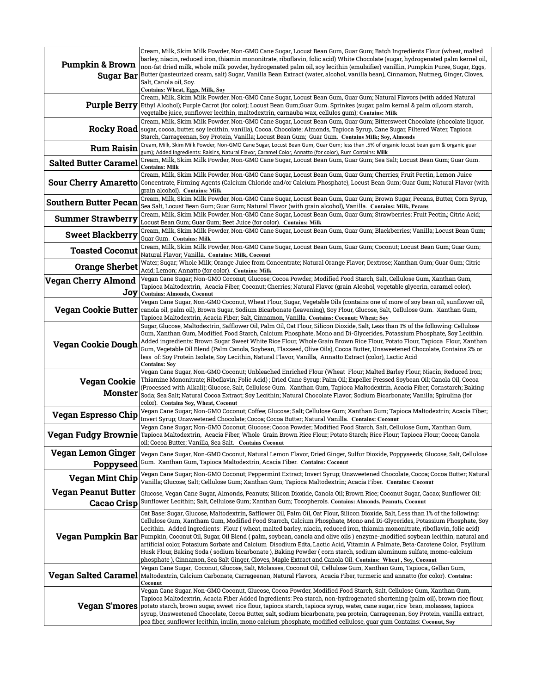|                              | Cream, Milk, Skim Milk Powder, Non-GMO Cane Sugar, Locust Bean Gum, Guar Gum; Batch Ingredients Flour (wheat, malted                                                                                                                                              |
|------------------------------|-------------------------------------------------------------------------------------------------------------------------------------------------------------------------------------------------------------------------------------------------------------------|
| <b>Pumpkin &amp; Brown</b>   | barley, niacin, reduced iron, thiamin mononitrate, riboflavin, folic acid) White Chocolate (sugar, hydrogenated palm kernel oil,<br>non-fat dried milk, whole milk powder, hydrogenated palm oil, soy lecithin (emulsifier) vanillin, Pumpkin Puree, Sugar, Eggs, |
| <b>Sugar Bar</b>             | Butter (pasteurized cream, salt) Sugar, Vanilla Bean Extract (water, alcohol, vanilla bean), Cinnamon, Nutmeg, Ginger, Cloves,                                                                                                                                    |
|                              | Salt, Canola oil, Soy.<br>Contains: Wheat, Eggs, Milk, Soy                                                                                                                                                                                                        |
|                              | Cream, Milk, Skim Milk Powder, Non-GMO Cane Sugar, Locust Bean Gum, Guar Gum; Natural Flavors (with added Natural                                                                                                                                                 |
| Purple Berry                 | Ethyl Alcohol); Purple Carrot (for color); Locust Bean Gum;Guar Gum. Sprinkes (sugar, palm kernal & palm oil,corn starch,                                                                                                                                         |
|                              | vegetalbe juice, sunflower lecithin, maltodextrin, carnauba wax, cellulos gum); Contains: Milk<br>Cream, Milk, Skim Milk Powder, Non-GMO Cane Sugar, Locust Bean Gum, Guar Gum; Bittersweet Chocolate (chocolate liquor,                                          |
| <b>Rocky Road</b>            | sugar, cocoa, butter, soy lecithin, vanilla), Cocoa, Chocolate; Almonds, Tapioca Syrup, Cane Sugar, Filtered Water, Tapioca                                                                                                                                       |
|                              | Starch, Carrageenan, Soy Protein, Vanilla; Locust Bean Gum; Guar Gum. Contains Milk; Soy, Almonds                                                                                                                                                                 |
| <b>Rum Raisin</b>            | Cream, Milk, Skim Milk Powder, Non-GMO Cane Sugar, Locust Bean Gum, Guar Gum; less than .5% of organic locust bean gum & organic guar<br>gum); Added Ingredients: Raisins, Natural Flavor, Caramel Color, Annatto (for color), Rum Contains: Milk                 |
| <b>Salted Butter Caramel</b> | Cream, Milk, Skim Milk Powder, Non-GMO Cane Sugar, Locust Bean Gum, Guar Gum; Sea Salt; Locust Bean Gum; Guar Gum.<br><b>Contains: Milk</b>                                                                                                                       |
|                              | Cream, Milk, Skim Milk Powder, Non-GMO Cane Sugar, Locust Bean Gum, Guar Gum; Cherries; Fruit Pectin, Lemon Juice                                                                                                                                                 |
| <b>Sour Cherry Amaretto</b>  | Concentrate, Firming Agents (Calcium Chloride and/or Calcium Phosphate), Locust Bean Gum; Guar Gum; Natural Flavor (with<br>grain alcohol). Contains: Milk                                                                                                        |
| <b>Southern Butter Pecan</b> | Cream, Milk, Skim Milk Powder, Non-GMO Cane Sugar, Locust Bean Gum, Guar Gum; Brown Sugar, Pecans, Butter, Corn Syrup,                                                                                                                                            |
|                              | Sea Salt, Locust Bean Gum; Guar Gum; Natural Flavor (with grain alcohol), Vanilla. Contains: Milk, Pecans                                                                                                                                                         |
| <b>Summer Strawberry</b>     | Cream, Milk, Skim Milk Powder, Non-GMO Cane Sugar, Locust Bean Gum, Guar Gum; Strawberries; Fruit Pectin,; Citric Acid;<br>Locust Bean Gum; Guar Gum; Beet Juice (for color). Contains: Milk                                                                      |
| <b>Sweet Blackberry</b>      | Cream, Milk, Skim Milk Powder, Non-GMO Cane Sugar, Locust Bean Gum, Guar Gum; Blackberries; Vanilla; Locust Bean Gum;                                                                                                                                             |
|                              | Guar Gum. Contains: Milk                                                                                                                                                                                                                                          |
| <b>Toasted Coconut</b>       | Cream, Milk, Skim Milk Powder, Non-GMO Cane Sugar, Locust Bean Gum, Guar Gum; Coconut; Locust Bean Gum; Guar Gum;<br>Natural Flavor; Vanilla. Contains: Milk, Coconut                                                                                             |
| <b>Orange Sherbet</b>        | Water; Sugar; Whole Milk; Orange Juice from Concentrate; Natural Orange Flavor; Dextrose; Xanthan Gum; Guar Gum; Citric<br>Acid; Lemon; Annatto (for color). Contains: Milk                                                                                       |
| <b>Vegan Cherry Almond</b>   | Vegan Cane Sugar; Non-GMO Coconut; Glucose; Cocoa Powder; Modified Food Starch, Salt, Cellulose Gum, Xanthan Gum,                                                                                                                                                 |
| Joy                          | Tapioca Maltodextrin,  Acacia Fiber; Coconut; Cherries; Natural Flavor (grain Alcohol, vegetable glycerin, caramel color).                                                                                                                                        |
|                              | <b>Contains: Almonds, Coconut</b><br>Vegan Cane Sugar, Non-GMO Coconut, Wheat Flour, Sugar, Vegetable Oils (contains one of more of soy bean oil, sunflower oil,                                                                                                  |
| <b>Vegan Cookie Butter</b>   | canola oil, palm oil), Brown Sugar, Sodium Bicarbonate (leavening), Soy Flour, Glucose, Salt, Cellulose Gum.  Xanthan Gum,                                                                                                                                        |
|                              | Tapioca Maltodextrin, Acacia Fiber; Salt, Cinnamon, Vanilla. Contains: Coconut; Wheat; Soy<br>Sugar, Glucose, Maltodextrin, Safflower Oil, Palm Oil, Oat Flour, Silicon Dioxide, Salt, Less than 1% of the following: Cellulose                                   |
|                              | Gum, Xanthan Gum, Modified Food Starch, Calcium Phosphate, Mono and Di-Glycerides, Potassium Phosphate, Soy Lecithin.                                                                                                                                             |
| <b>Vegan Cookie Dough</b>    | Added ingredients: Brown Sugar Sweet White Rice Flour, Whole Grain Brown Rice Flour, Potato Flour, Tapioca Flour, Xanthan                                                                                                                                         |
|                              | Gum, Vegetable Oil Blend (Palm Canola, Soybean, Flaxseed, Olive Oils), Cocoa Butter, Unsweetened Chocolate, Contains 2% or<br>less  of: Soy Protein Isolate, Soy Lecithin, Natural Flavor, Vanilla,  Annatto Extract (color), Lactic Acid                         |
|                              | <b>Contains: Soy</b>                                                                                                                                                                                                                                              |
|                              | Vegan Cane Sugar, Non-GMO Coconut; Unbleached Enriched Flour (Wheat Flour; Malted Barley Flour; Niacin; Reduced Iron;<br>Thiamine Mononitrate; Riboflavin; Folic Acid) ; Dried Cane Syrup; Palm Oil; Expeller Pressed Soybean Oil; Canola Oil, Cocoa              |
| <b>Vegan Cookie</b>          | (Processed with Alkali); Glucose, Salt, Cellulose Gum. Xanthan Gum, Tapioca Maltodextrin, Acacia Fiber; Cornstarch; Baking                                                                                                                                        |
| <b>Monster</b>               | Soda; Sea Salt; Natural Cocoa Extract; Soy Lecithin; Natural Chocolate Flavor; Sodium Bicarbonate; Vanilla; Spirulina (for                                                                                                                                        |
|                              | color). Contains Soy, Wheat, Coconut<br>Vegan Cane Sugar; Non-GMO Coconut; Coffee; Glucose; Salt; Cellulose Gum; Xanthan Gum; Tapioca Maltodextrin; Acacia Fiber;                                                                                                 |
| <b>Vegan Espresso Chip</b>   | Invert Syrup; Unsweetened Chocolate; Cocoa; Cocoa Butter; Natural Vanilla.   Contains: Coconut                                                                                                                                                                    |
| <b>Vegan Fudgy Brownie</b>   | Vegan Cane Sugar; Non-GMO Coconut; Glucose; Cocoa Powder; Modified Food Starch, Salt, Cellulose Gum, Xanthan Gum,<br>Tapioca Maltodextrin, Acacia Fiber; Whole Grain Brown Rice Flour; Potato Starch; Rice Flour; Tapioca Flour; Cocoa; Canola                    |
|                              | oil; Cocoa Butter; Vanilla, Sea Salt. Contains Coconut                                                                                                                                                                                                            |
| <b>Vegan Lemon Ginger</b>    | Vegan Cane Sugar, Non-GMO Coconut, Natural Lemon Flavor, Dried Ginger, Sulfur Dioxide, Poppyseeds; Glucose, Salt, Cellulose                                                                                                                                       |
| Poppyseed                    | Gum. Xanthan Gum, Tapioca Maltodextrin, Acacia Fiber. Contains: Coconut                                                                                                                                                                                           |
| <b>Vegan Mint Chip</b>       | Vegan Cane Sugar; Non-GMO Coconut; Peppermint Extract; Invert Syrup; Unsweetened Chocolate, Cocoa; Cocoa Butter; Natural<br>Vanilla; Glucose; Salt; Cellulose Gum; Xanthan Gum; Tapioca Maltodextrin; Acacia Fiber. Contains: Coconut                             |
| <b>Vegan Peanut Butter</b>   | Glucose, Vegan Cane Sugar, Almonds, Peanuts; Silicon Dioxide, Canola Oil; Brown Rice; Coconut Sugar, Cacao; Sunflower Oil;                                                                                                                                        |
| <b>Cacao Crisp</b>           | Sunflower Lecithin; Salt, Cellulose Gum; Xanthan Gum; Tocopherols. Contains: Almonds, Peanuts, Coconut                                                                                                                                                            |
|                              | Oat Base: Sugar, Glucose, Maltodextrin, Safflower Oil, Palm Oil, Oat Flour, Silicon Dioxide, Salt, Less than 1% of the following:<br>Cellulose Gum, Xantham Gum, Modified Food Starrch, Calcium Phosphate, Mono and Di-Glycerides, Potassium Phosphate, Soy       |
|                              | Lecithin.  Added Ingredients:  Flour ( wheat, malted barley, niacin, reduced iron, thiamin mononitrate, riboflavin, folic acid)                                                                                                                                   |
| Vegan Pumpkin Bar            | Pumpkin, Coconut Oil, Sugar, Oil Blend (palm, soybean, canola and olive oils) enzyme-,modified soybean lecithin, natural and                                                                                                                                      |
|                              | artificial color, Potasium Sorbate and Calcium  Disodium Edta, Lactic Acid, Vitamin A Palmate, Beta-Carotene Color,  Psyllium<br>Husk Flour, Baking Soda ( sodium bicarbonate ), Baking Powder ( corn starch, sodium aluminum sulfate, momo-calcium               |
|                              | phosphate ), Cinnamon, Sea Salt Ginger, Cloves, Maple Extract and Canola Oil. Contains: Wheat , Soy, Coconut                                                                                                                                                      |
| <b>Vegan Salted Caramel</b>  | Vegan Cane Sugar,  Coconut, Glucose, Salt, Molasses, Coconut Oil,  Cellulose Gum, Xanthan Gum, Tapioca,, Gellan Gum,                                                                                                                                              |
|                              | Maltodextrin, Calcium Carbonate, Carrageenan, Natural Flavors, Acacia Fiber, turmeric and annatto (for color). Contains:<br>Coconut                                                                                                                               |
|                              | Vegan Cane Sugar, Non-GMO Coconut, Glucose, Cocoa Powder, Modified Food Starch, Salt, Cellulose Gum, Xanthan Gum,                                                                                                                                                 |
| Vegan S'mores                | Tapioca Maltodextrin, Acacia Fiber Added Ingredients: Pea starch, non-hydrogenated shortening (palm oil), brown rice flour,<br>potato starch, brown sugar, sweet rice flour, tapioca starch, tapioca syrup, water, cane sugar, rice bran, molasses, tapioca       |
|                              | syrup, Unsweetened Chocolate, Cocoa Butter, salt, sodium bicarbonate, pea protein, Carrageenan, Soy Protein, vanilla extract,                                                                                                                                     |
|                              | pea fiber, sunflower lecithin, inulin, mono calcium phosphate, modified cellulose, quar qum Contains: Coconut, Soy                                                                                                                                                |